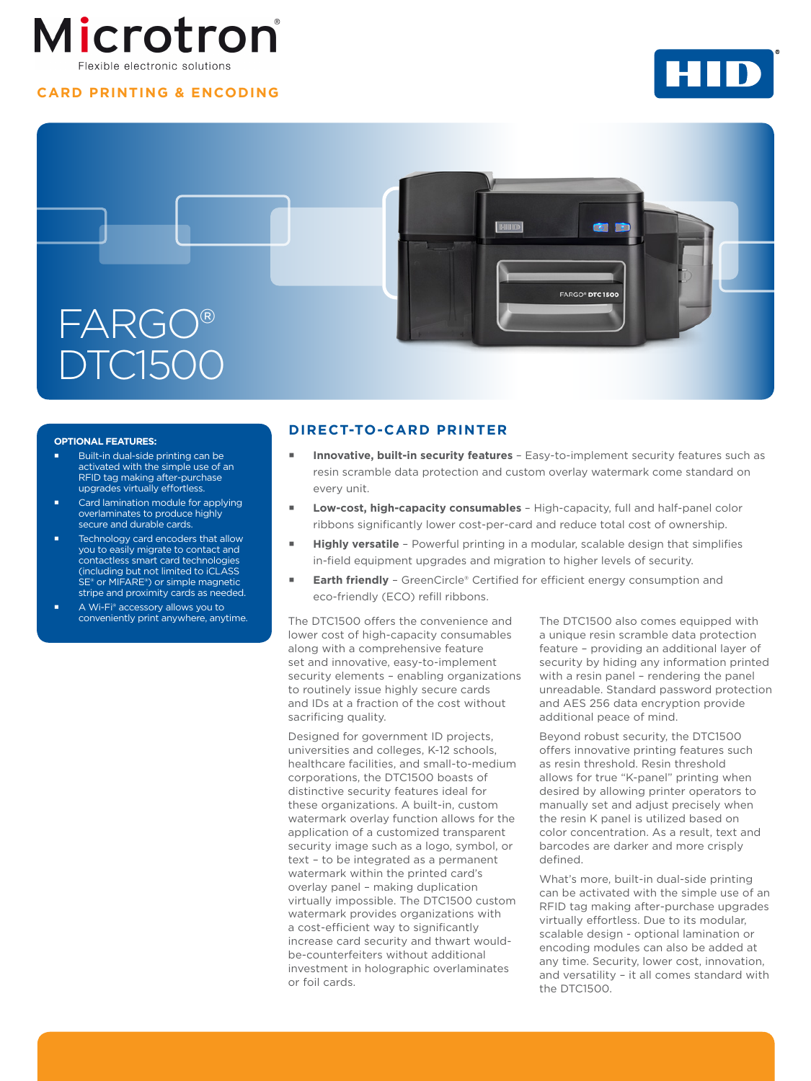# Microtron Flexible electronic solutions

## **CARD PRINTING & ENCODING**





#### **OPTIONAL FEATURES:**

- Built-in dual-side printing can be activated with the simple use of an RFID tag making after-purchase upgrades virtually effortless.
- Card lamination module for applying overlaminates to produce highly secure and durable cards.
- Technology card encoders that allow you to easily migrate to contact and contactless smart card technologies (including but not limited to iCLASS SE® or MIFARE®) or simple magnetic stripe and proximity cards as needed.
- A Wi-Fi® accessory allows you to conveniently print anywhere, anytime.

### **DIRECT-TO-CARD PRINTER**

- **Innovative, built-in security features**  Easy-to-implement security features such as resin scramble data protection and custom overlay watermark come standard on every unit.
- **Low-cost, high-capacity consumables**  High-capacity, full and half-panel color ribbons significantly lower cost-per-card and reduce total cost of ownership.
- **Highly versatile**  Powerful printing in a modular, scalable design that simplifies in-field equipment upgrades and migration to higher levels of security.
- **Earth friendly**  GreenCircle® Certified for efficient energy consumption and eco-friendly (ECO) refill ribbons.

The DTC1500 offers the convenience and lower cost of high-capacity consumables along with a comprehensive feature set and innovative, easy-to-implement security elements – enabling organizations to routinely issue highly secure cards and IDs at a fraction of the cost without sacrificing quality.

Designed for government ID projects, universities and colleges, K-12 schools, healthcare facilities, and small-to-medium corporations, the DTC1500 boasts of distinctive security features ideal for these organizations. A built-in, custom watermark overlay function allows for the application of a customized transparent security image such as a logo, symbol, or text – to be integrated as a permanent watermark within the printed card's overlay panel – making duplication virtually impossible. The DTC1500 custom watermark provides organizations with a cost-efficient way to significantly increase card security and thwart wouldbe-counterfeiters without additional investment in holographic overlaminates or foil cards.

The DTC1500 also comes equipped with a unique resin scramble data protection feature – providing an additional layer of security by hiding any information printed with a resin panel – rendering the panel unreadable. Standard password protection and AES 256 data encryption provide additional peace of mind.

Beyond robust security, the DTC1500 offers innovative printing features such as resin threshold. Resin threshold allows for true "K-panel" printing when desired by allowing printer operators to manually set and adjust precisely when the resin K panel is utilized based on color concentration. As a result, text and barcodes are darker and more crisply defined.

What's more, built-in dual-side printing can be activated with the simple use of an RFID tag making after-purchase upgrades virtually effortless. Due to its modular, scalable design - optional lamination or encoding modules can also be added at any time. Security, lower cost, innovation, and versatility – it all comes standard with the DTC1500.